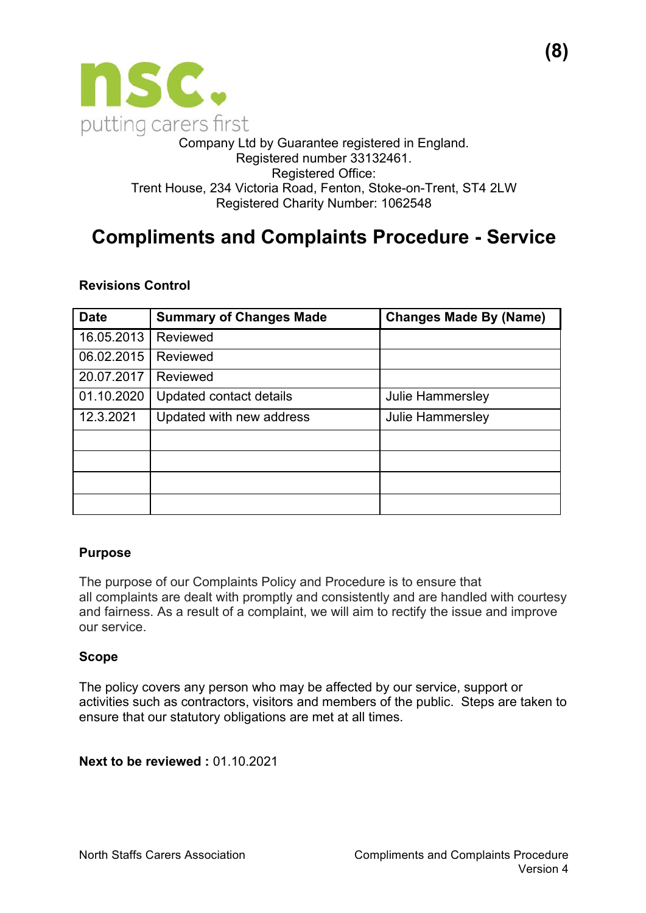

#### Company Ltd by Guarantee registered in England. Registered number 33132461. Registered Office: Trent House, 234 Victoria Road, Fenton, Stoke-on-Trent, ST4 2LW Registered Charity Number: 1062548

# **Compliments and Complaints Procedure - Service**

### **Revisions Control**

| <b>Date</b> | <b>Summary of Changes Made</b> | <b>Changes Made By (Name)</b> |
|-------------|--------------------------------|-------------------------------|
| 16.05.2013  | Reviewed                       |                               |
| 06.02.2015  | Reviewed                       |                               |
| 20.07.2017  | Reviewed                       |                               |
| 01.10.2020  | Updated contact details        | <b>Julie Hammersley</b>       |
| 12.3.2021   | Updated with new address       | <b>Julie Hammersley</b>       |
|             |                                |                               |
|             |                                |                               |
|             |                                |                               |
|             |                                |                               |

### **Purpose**

The purpose of our Complaints Policy and Procedure is to ensure that all complaints are dealt with promptly and consistently and are handled with courtesy and fairness. As a result of a complaint, we will aim to rectify the issue and improve our service.

### **Scope**

The policy covers any person who may be affected by our service, support or activities such as contractors, visitors and members of the public. Steps are taken to ensure that our statutory obligations are met at all times.

**Next to be reviewed : 01.10.2021**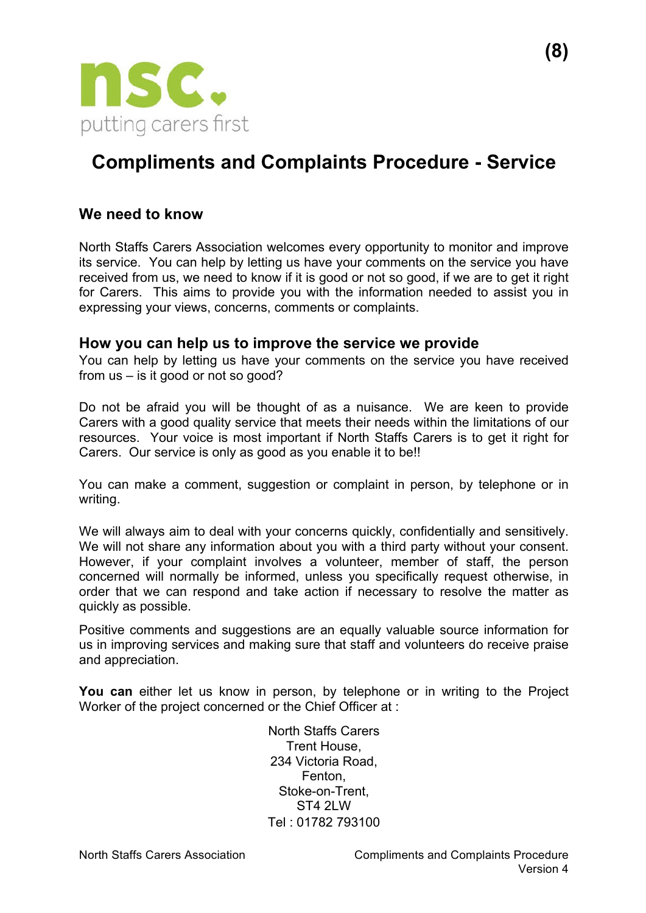

## **Compliments and Complaints Procedure - Service**

## **We need to know**

North Staffs Carers Association welcomes every opportunity to monitor and improve its service. You can help by letting us have your comments on the service you have received from us, we need to know if it is good or not so good, if we are to get it right for Carers. This aims to provide you with the information needed to assist you in expressing your views, concerns, comments or complaints.

### **How you can help us to improve the service we provide**

You can help by letting us have your comments on the service you have received from us – is it good or not so good?

Do not be afraid you will be thought of as a nuisance. We are keen to provide Carers with a good quality service that meets their needs within the limitations of our resources. Your voice is most important if North Staffs Carers is to get it right for Carers. Our service is only as good as you enable it to be!!

You can make a comment, suggestion or complaint in person, by telephone or in writing.

We will always aim to deal with your concerns quickly, confidentially and sensitively. We will not share any information about you with a third party without your consent. However, if your complaint involves a volunteer, member of staff, the person concerned will normally be informed, unless you specifically request otherwise, in order that we can respond and take action if necessary to resolve the matter as quickly as possible.

Positive comments and suggestions are an equally valuable source information for us in improving services and making sure that staff and volunteers do receive praise and appreciation.

**You can** either let us know in person, by telephone or in writing to the Project Worker of the project concerned or the Chief Officer at :

> North Staffs Carers Trent House, 234 Victoria Road, Fenton, Stoke-on-Trent, **ST4 2LW** Tel : 01782 793100